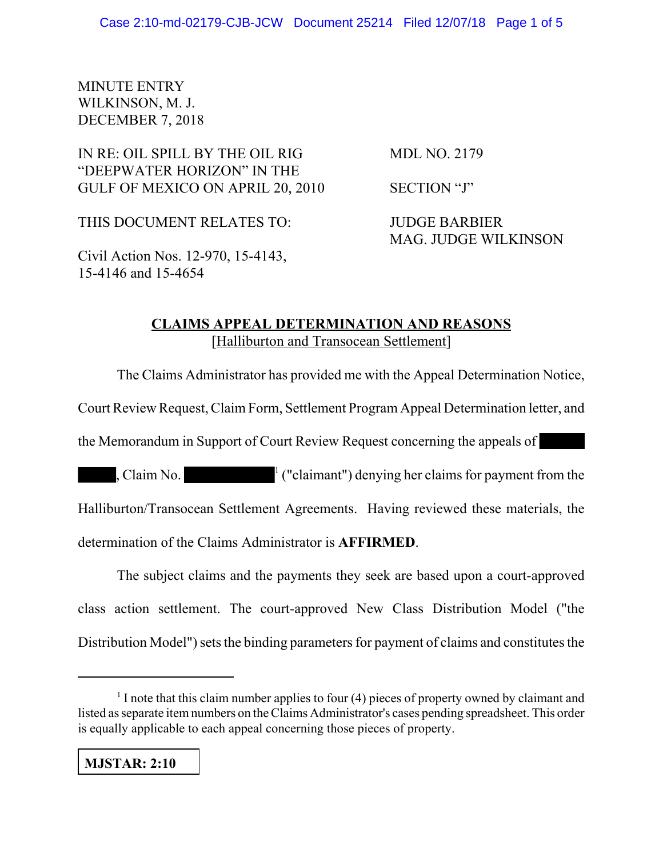## MINUTE ENTRY WILKINSON, M. J. DECEMBER 7, 2018

## IN RE: OIL SPILL BY THE OIL RIG MDL NO. 2179 "DEEPWATER HORIZON" IN THE GULF OF MEXICO ON APRIL 20, 2010 SECTION "J"

THIS DOCUMENT RELATES TO: **JUDGE BARBIER** 

MAG. JUDGE WILKINSON

Civil Action Nos. 12-970, 15-4143, 15-4146 and 15-4654

## **CLAIMS APPEAL DETERMINATION AND REASONS** [Halliburton and Transocean Settlement]

The Claims Administrator has provided me with the Appeal Determination Notice,

Court Review Request, Claim Form, Settlement Program Appeal Determination letter, and

the Memorandum in Support of Court Review Request concerning the appeals of

, Claim No.  $\frac{1}{1}$  ("claimant") denying her claims for payment from the Halliburton/Transocean Settlement Agreements. Having reviewed these materials, the determination of the Claims Administrator is **AFFIRMED**.

The subject claims and the payments they seek are based upon a court-approved class action settlement. The court-approved New Class Distribution Model ("the Distribution Model") sets the binding parameters for payment of claims and constitutes the

 $<sup>1</sup>$  I note that this claim number applies to four (4) pieces of property owned by claimant and</sup> listed as separate item numbers on the Claims Administrator's cases pending spreadsheet. This order is equally applicable to each appeal concerning those pieces of property.

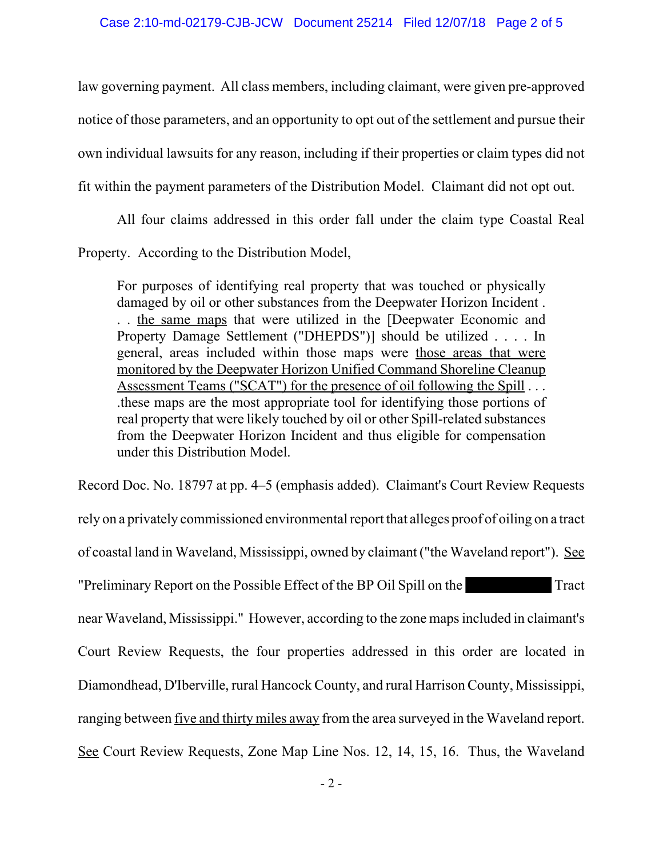law governing payment. All class members, including claimant, were given pre-approved notice of those parameters, and an opportunity to opt out of the settlement and pursue their own individual lawsuits for any reason, including if their properties or claim types did not fit within the payment parameters of the Distribution Model. Claimant did not opt out.

All four claims addressed in this order fall under the claim type Coastal Real Property. According to the Distribution Model,

For purposes of identifying real property that was touched or physically damaged by oil or other substances from the Deepwater Horizon Incident . . . the same maps that were utilized in the [Deepwater Economic and Property Damage Settlement ("DHEPDS")] should be utilized . . . . In general, areas included within those maps were those areas that were monitored by the Deepwater Horizon Unified Command Shoreline Cleanup Assessment Teams ("SCAT") for the presence of oil following the Spill . . . .these maps are the most appropriate tool for identifying those portions of real property that were likely touched by oil or other Spill-related substances from the Deepwater Horizon Incident and thus eligible for compensation under this Distribution Model.

Record Doc. No. 18797 at pp. 4–5 (emphasis added). Claimant's Court Review Requests rely on a privately commissioned environmental report that alleges proof of oiling on a tract of coastal land in Waveland, Mississippi, owned by claimant ("the Waveland report"). See "Preliminary Report on the Possible Effect of the BP Oil Spill on the Tract near Waveland, Mississippi." However, according to the zone maps included in claimant's Court Review Requests, the four properties addressed in this order are located in Diamondhead, D'Iberville, rural Hancock County, and rural Harrison County, Mississippi, ranging between <u>five and thirty miles away</u> from the area surveyed in the Waveland report. See Court Review Requests, Zone Map Line Nos. 12, 14, 15, 16. Thus, the Waveland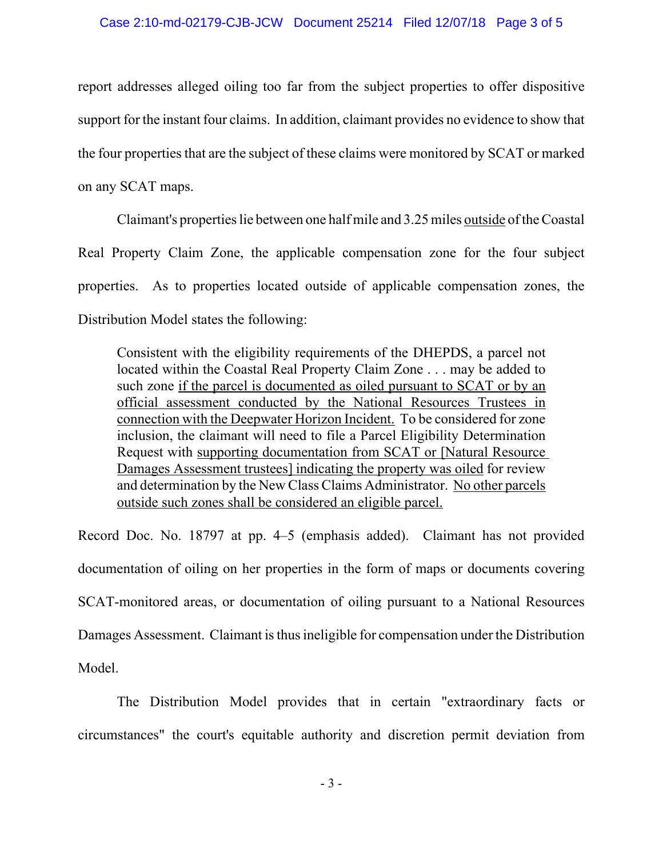## Case 2:10-md-02179-CJB-JCW Document 25214 Filed 12/07/18 Page 3 of 5

report addresses alleged oiling too far from the subject properties to offer dispositive support for the instant four claims. In addition, claimant provides no evidence to show that the four properties that are the subject of these claims were monitored by SCAT or marked on any SCAT maps.

Claimant's properties lie between one half mile and 3.25 miles outside of the Coastal Real Property Claim Zone, the applicable compensation zone for the four subject properties. As to properties located outside of applicable compensation zones, the Distribution Model states the following:

Consistent with the eligibility requirements of the DHEPDS, a parcel not located within the Coastal Real Property Claim Zone . . . may be added to such zone if the parcel is documented as oiled pursuant to SCAT or by an official assessment conducted by the National Resources Trustees in connection with the Deepwater Horizon Incident. To be considered for zone inclusion, the claimant will need to file a Parcel Eligibility Determination Request with supporting documentation from SCAT or [Natural Resource Damages Assessment trustees] indicating the property was oiled for review and determination by the New Class Claims Administrator. No other parcels outside such zones shall be considered an eligible parcel.

Record Doc. No. 18797 at pp. 4–5 (emphasis added). Claimant has not provided documentation of oiling on her properties in the form of maps or documents covering SCAT-monitored areas, or documentation of oiling pursuant to a National Resources Damages Assessment. Claimant is thus ineligible for compensation under the Distribution Model.

The Distribution Model provides that in certain "extraordinary facts or circumstances" the court's equitable authority and discretion permit deviation from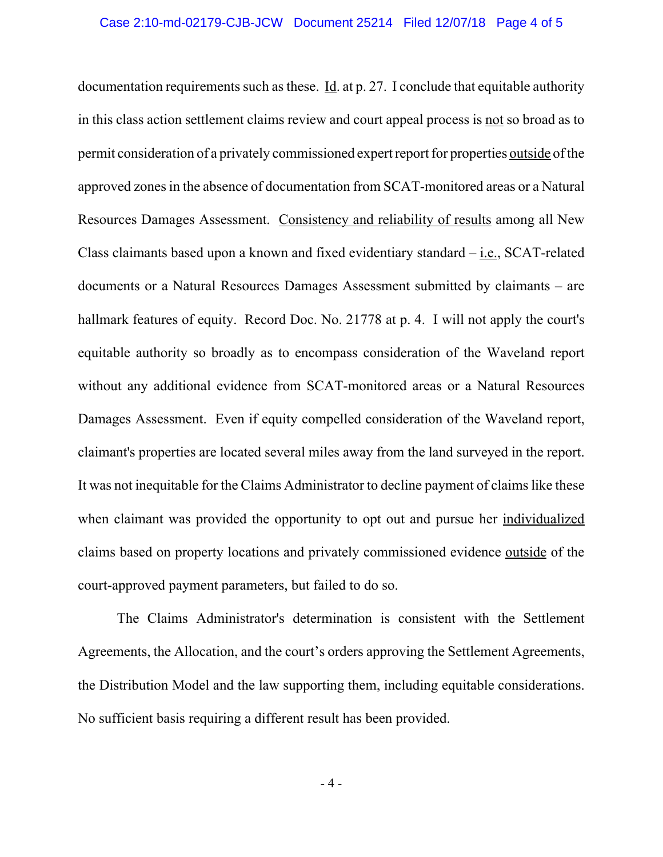documentation requirements such as these. Id. at p. 27. I conclude that equitable authority in this class action settlement claims review and court appeal process is not so broad as to permit consideration of a privately commissioned expert report for properties outside of the approved zones in the absence of documentation from SCAT-monitored areas or a Natural Resources Damages Assessment. Consistency and reliability of results among all New Class claimants based upon a known and fixed evidentiary standard  $-\underline{i.e.}$ , SCAT-related documents or a Natural Resources Damages Assessment submitted by claimants – are hallmark features of equity. Record Doc. No. 21778 at p. 4. I will not apply the court's equitable authority so broadly as to encompass consideration of the Waveland report without any additional evidence from SCAT-monitored areas or a Natural Resources Damages Assessment. Even if equity compelled consideration of the Waveland report, claimant's properties are located several miles away from the land surveyed in the report. It was not inequitable for the Claims Administrator to decline payment of claims like these when claimant was provided the opportunity to opt out and pursue her individualized claims based on property locations and privately commissioned evidence outside of the court-approved payment parameters, but failed to do so.

The Claims Administrator's determination is consistent with the Settlement Agreements, the Allocation, and the court's orders approving the Settlement Agreements, the Distribution Model and the law supporting them, including equitable considerations. No sufficient basis requiring a different result has been provided.